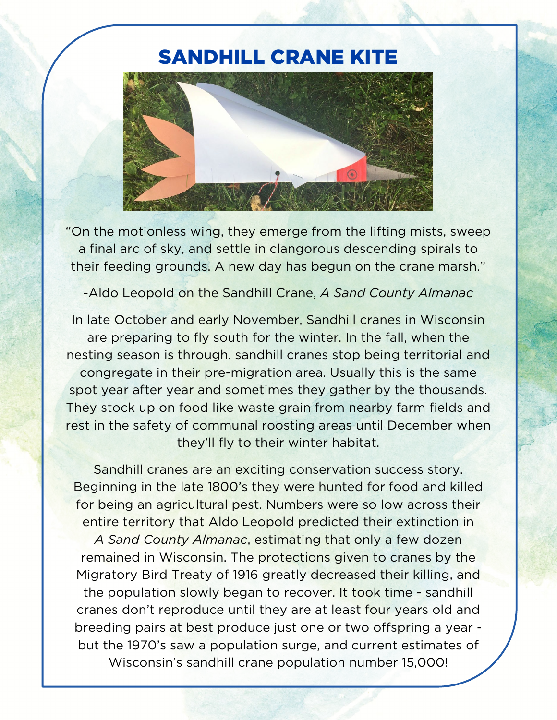## SANDHILL CRANE KITE



"On the motionless wing, they emerge from the lifting mists, sweep a final arc of sky, and settle in clangorous descending spirals to their feeding grounds. A new day has begun on the crane marsh."

-Aldo Leopold on the Sandhill Crane, *A Sand County Almanac*

In late October and early November, Sandhill cranes in Wisconsin are preparing to fly south for the winter. In the fall, when the nesting season is through, sandhill cranes stop being territorial and congregate in their pre-migration area. Usually this is the same spot year after year and sometimes they gather by the thousands. They stock up on food like waste grain from nearby farm fields and rest in the safety of communal roosting areas until December when they'll fly to their winter habitat.

Sandhill cranes are an exciting conservation success story. Beginning in the late 1800's they were hunted for food and killed for being an agricultural pest. Numbers were so low across their entire territory that Aldo Leopold predicted their extinction in *A Sand County Almanac*, estimating that only a few dozen remained in Wisconsin. The protections given to cranes by the Migratory Bird Treaty of 1916 greatly decreased their killing, and the population slowly began to recover. It took time - sandhill cranes don't reproduce until they are at least four years old and breeding pairs at best produce just one or two offspring a year but the 1970's saw a population surge, and current estimates of Wisconsin's sandhill crane population number 15,000!